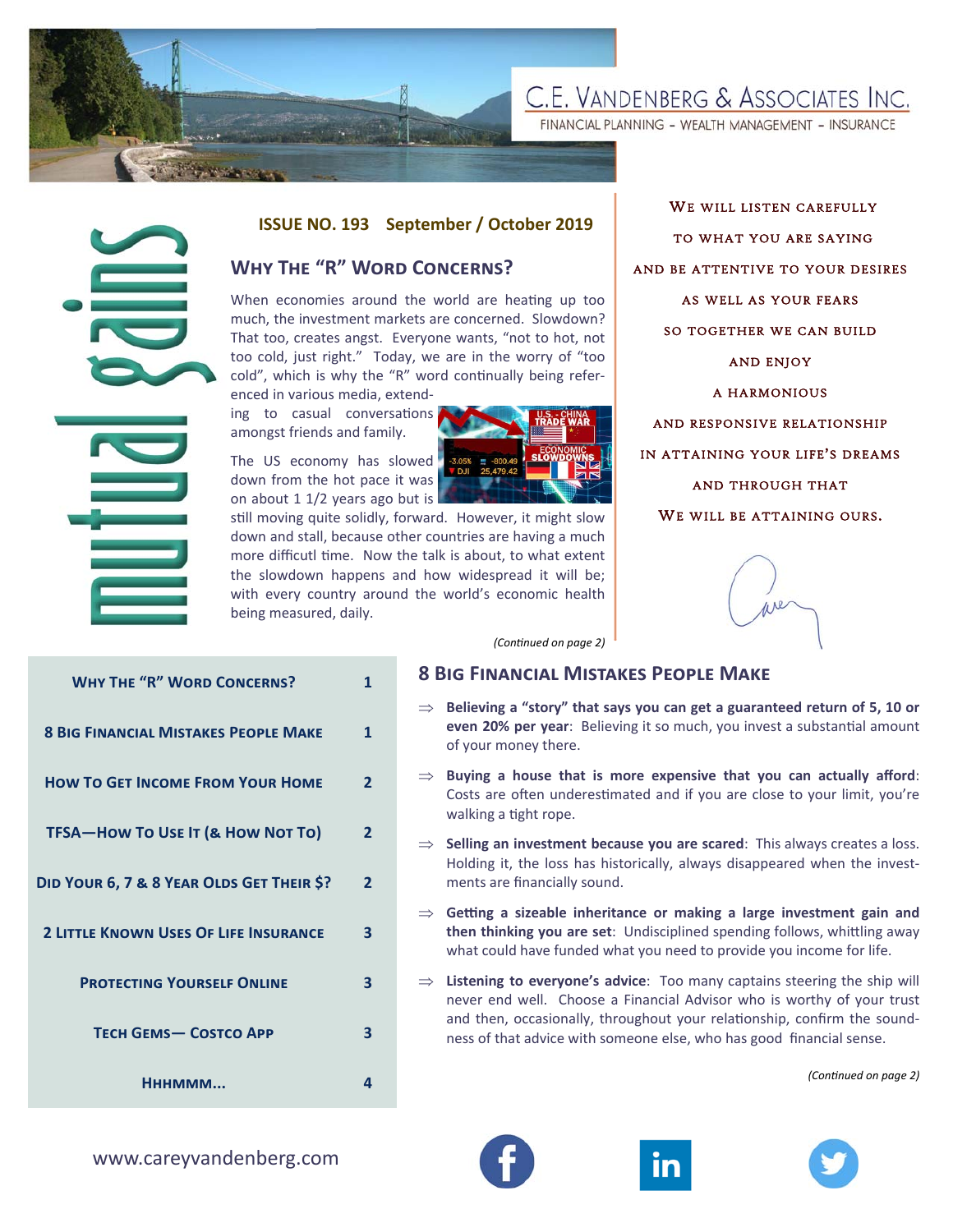

FINANCIAL PLANNING - WEALTH MANAGEMENT - INSURANCE



#### **ISSUE NO. 193 September / October 2019**

# **WHY THE "R" WORD CONCERNS?**



WE WILL LISTEN CAREFULLY TO WHAT YOU ARE SAYING AND BE ATTENTIVE TO YOUR DESIRES AS WELL AS YOUR FEARS SO TOGETHER WE CAN BUILD AND ENJOY A HARMONIOUS AND RESPONSIVE RELATIONSHIP IN ATTAINING YOUR LIFE ' S DREAMS AND THROUGH THAT WE WILL BE ATTAINING OURS.



#### **8 BIG FINANCIAL MISTAKES PEOPLE MAKE**

- **Believing a "story" that says you can get a guaranteed return of 5, 10 or even 20% per year**: Believing it so much, you invest a substantial amount of your money there.
- $\Rightarrow$  Buying a house that is more expensive that you can actually afford: Costs are often underestimated and if you are close to your limit, you're walking a tight rope.
- $\Rightarrow$  **Selling an investment because you are scared**: This always creates a loss. Holding it, the loss has historically, always disappeared when the investments are financially sound.
- $\Rightarrow$  Getting a sizeable inheritance or making a large investment gain and **then thinking you are set:** Undisciplined spending follows, whittling away what could have funded what you need to provide you income for life.
- $\Rightarrow$  Listening to everyone's advice: Too many captains steering the ship will never end well. Choose a Financial Advisor who is worthy of your trust and then, occasionally, throughout your relationship, confirm the soundness of that advice with someone else, who has good financial sense.

*(ConƟnued on page 2)* 

|                                              |                                                                                                                                                                                                                                                                                                                                                                                                                                                                                                                                                                                                                                                                                                                                                                                                                                                                    |                |  | ISSUE NO. 193 September / October 2019                                                           |
|----------------------------------------------|--------------------------------------------------------------------------------------------------------------------------------------------------------------------------------------------------------------------------------------------------------------------------------------------------------------------------------------------------------------------------------------------------------------------------------------------------------------------------------------------------------------------------------------------------------------------------------------------------------------------------------------------------------------------------------------------------------------------------------------------------------------------------------------------------------------------------------------------------------------------|----------------|--|--------------------------------------------------------------------------------------------------|
|                                              | <b>WHY THE "R" WORD CONCERNS?</b>                                                                                                                                                                                                                                                                                                                                                                                                                                                                                                                                                                                                                                                                                                                                                                                                                                  |                |  |                                                                                                  |
|                                              | When economies around the world are heating up too<br>much, the investment markets are concerned. Slowdown?<br>That too, creates angst. Everyone wants, "not to hot, not<br>too cold, just right." Today, we are in the worry of "too<br>cold", which is why the "R" word continually being refer-<br>enced in various media, extend-<br>ing to casual conversations<br>amongst friends and family.<br>The US economy has slowed<br>$-3.05%$<br><b>DJI</b><br>down from the hot pace it was<br>on about 1 1/2 years ago but is<br>still moving quite solidly, forward. However, it might slow<br>down and stall, because other countries are having a much<br>more difficutl time. Now the talk is about, to what extent<br>the slowdown happens and how widespread it will be;<br>with every country around the world's economic health<br>being measured, daily. |                |  |                                                                                                  |
|                                              |                                                                                                                                                                                                                                                                                                                                                                                                                                                                                                                                                                                                                                                                                                                                                                                                                                                                    |                |  |                                                                                                  |
|                                              |                                                                                                                                                                                                                                                                                                                                                                                                                                                                                                                                                                                                                                                                                                                                                                                                                                                                    |                |  | (Continued on page 2)                                                                            |
| <b>WHY THE "R" WORD CONCERNS?</b>            |                                                                                                                                                                                                                                                                                                                                                                                                                                                                                                                                                                                                                                                                                                                                                                                                                                                                    | $\mathbf{1}$   |  | <b>8 BIG FINANCIAL MISTA</b>                                                                     |
| <b>8 BIG FINANCIAL MISTAKES PEOPLE MAKE</b>  |                                                                                                                                                                                                                                                                                                                                                                                                                                                                                                                                                                                                                                                                                                                                                                                                                                                                    | 1              |  | $\Rightarrow$ Believing a "story" that s<br>even 20% per year: Belie<br>of your money there.     |
| <b>HOW TO GET INCOME FROM YOUR HOME</b>      |                                                                                                                                                                                                                                                                                                                                                                                                                                                                                                                                                                                                                                                                                                                                                                                                                                                                    | $\overline{2}$ |  | Buying a house that is<br>Costs are often underesti<br>walking a tight rope.                     |
| TFSA-How To Use IT (& How Not To)            |                                                                                                                                                                                                                                                                                                                                                                                                                                                                                                                                                                                                                                                                                                                                                                                                                                                                    | 2              |  | Selling an investment beo<br>Holding it, the loss has hi                                         |
| DID YOUR 6, 7 & 8 YEAR OLDS GET THEIR \$?    |                                                                                                                                                                                                                                                                                                                                                                                                                                                                                                                                                                                                                                                                                                                                                                                                                                                                    | $\overline{2}$ |  | ments are financially soun                                                                       |
| <b>2 LITTLE KNOWN USES OF LIFE INSURANCE</b> |                                                                                                                                                                                                                                                                                                                                                                                                                                                                                                                                                                                                                                                                                                                                                                                                                                                                    | 3              |  | $\Rightarrow$ Getting a sizeable inheri<br>then thinking you are set<br>what could have funded w |
| <b>PROTECTING YOURSELF ONLINE</b>            |                                                                                                                                                                                                                                                                                                                                                                                                                                                                                                                                                                                                                                                                                                                                                                                                                                                                    | 3              |  | $\Rightarrow$ Listening to everyone's a<br>never end well. Choose<br>and then, occasionally, th  |
| <b>TECH GEMS- COSTCO APP</b>                 |                                                                                                                                                                                                                                                                                                                                                                                                                                                                                                                                                                                                                                                                                                                                                                                                                                                                    | 3              |  | ness of that advice with so                                                                      |
| HHHMMM                                       |                                                                                                                                                                                                                                                                                                                                                                                                                                                                                                                                                                                                                                                                                                                                                                                                                                                                    | 4              |  |                                                                                                  |
| www.careyvandenberg.com                      |                                                                                                                                                                                                                                                                                                                                                                                                                                                                                                                                                                                                                                                                                                                                                                                                                                                                    |                |  |                                                                                                  |





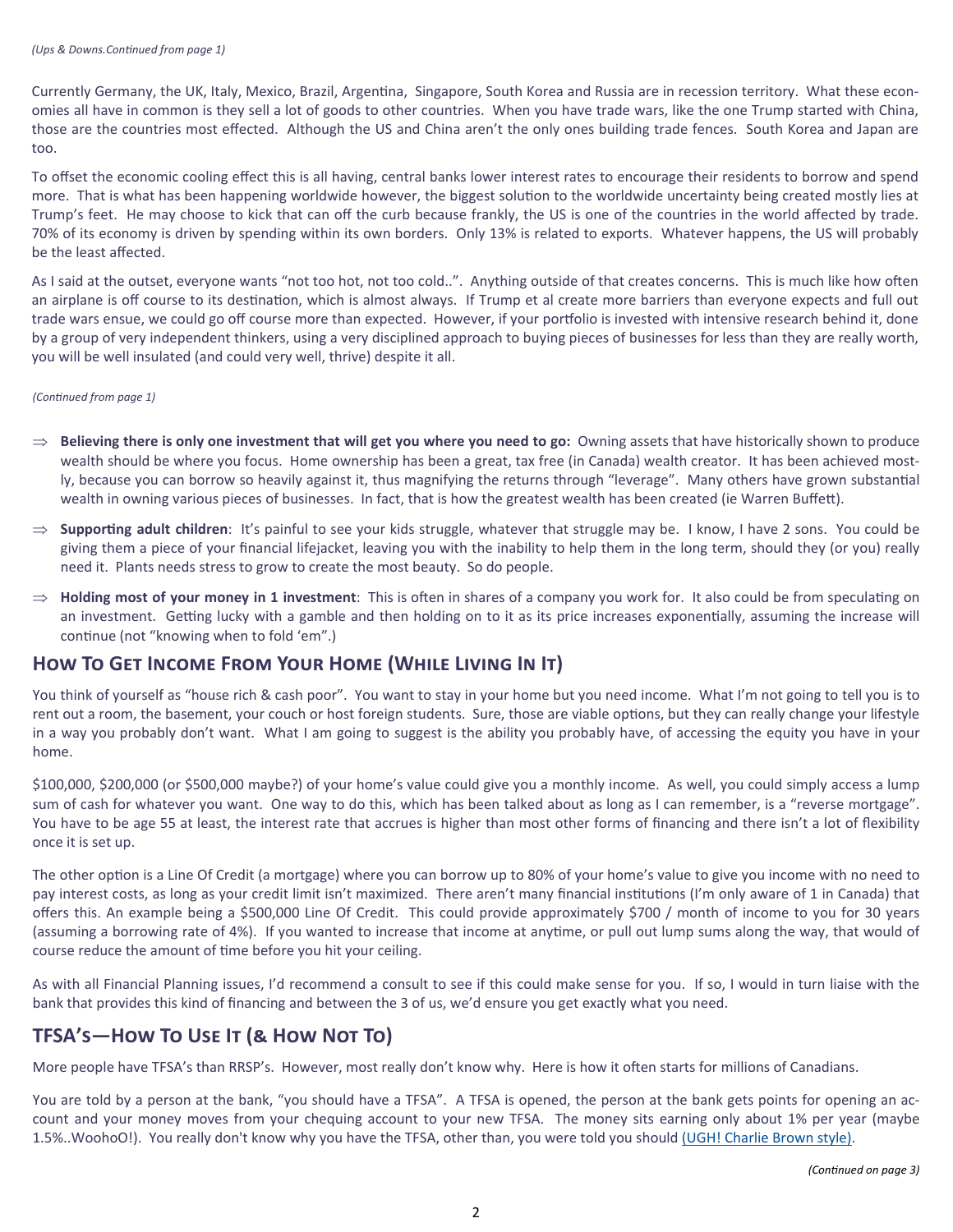Currently Germany, the UK, Italy, Mexico, Brazil, Argentina, Singapore, South Korea and Russia are in recession territory. What these economies all have in common is they sell a lot of goods to other countries. When you have trade wars, like the one Trump started with China, those are the countries most effected. Although the US and China aren't the only ones building trade fences. South Korea and Japan are too.

To offset the economic cooling effect this is all having, central banks lower interest rates to encourage their residents to borrow and spend more. That is what has been happening worldwide however, the biggest solution to the worldwide uncertainty being created mostly lies at Trump's feet. He may choose to kick that can off the curb because frankly, the US is one of the countries in the world affected by trade. 70% of its economy is driven by spending within its own borders. Only 13% is related to exports. Whatever happens, the US will probably be the least affected.

As I said at the outset, everyone wants "not too hot, not too cold..". Anything outside of that creates concerns. This is much like how often an airplane is off course to its destination, which is almost always. If Trump et al create more barriers than everyone expects and full out trade wars ensue, we could go off course more than expected. However, if your portfolio is invested with intensive research behind it, done by a group of very independent thinkers, using a very disciplined approach to buying pieces of businesses for less than they are really worth, you will be well insulated (and could very well, thrive) despite it all.

#### *(ConƟnued from page 1)*

- **Believing there is only one investment that will get you where you need to go:** Owning assets that have historically shown to produce wealth should be where you focus. Home ownership has been a great, tax free (in Canada) wealth creator. It has been achieved mostly, because you can borrow so heavily against it, thus magnifying the returns through "leverage". Many others have grown substantial wealth in owning various pieces of businesses. In fact, that is how the greatest wealth has been created (ie Warren Buffett).
- $\Rightarrow$  **Supporting adult children**: It's painful to see your kids struggle, whatever that struggle may be. I know, I have 2 sons. You could be giving them a piece of your financial lifejacket, leaving you with the inability to help them in the long term, should they (or you) really need it. Plants needs stress to grow to create the most beauty. So do people.
- $\Rightarrow$  **Holding most of your money in 1 investment**: This is often in shares of a company you work for. It also could be from speculating on an investment. Getting lucky with a gamble and then holding on to it as its price increases exponentially, assuming the increase will continue (not "knowing when to fold 'em".)

# HOW TO GET INCOME FROM YOUR HOME (WHILE LIVING IN IT)

You think of yourself as "house rich & cash poor". You want to stay in your home but you need income. What I'm not going to tell you is to rent out a room, the basement, your couch or host foreign students. Sure, those are viable options, but they can really change your lifestyle in a way you probably don't want. What I am going to suggest is the ability you probably have, of accessing the equity you have in your home.

\$100,000, \$200,000 (or \$500,000 maybe?) of your home's value could give you a monthly income. As well, you could simply access a lump sum of cash for whatever you want. One way to do this, which has been talked about as long as I can remember, is a "reverse mortgage". You have to be age 55 at least, the interest rate that accrues is higher than most other forms of financing and there isn't a lot of flexibility once it is set up.

The other option is a Line Of Credit (a mortgage) where you can borrow up to 80% of your home's value to give you income with no need to pay interest costs, as long as your credit limit isn't maximized. There aren't many financial institutions (I'm only aware of 1 in Canada) that offers this. An example being a \$500,000 Line Of Credit. This could provide approximately \$700 / month of income to you for 30 years (assuming a borrowing rate of 4%). If you wanted to increase that income at anytime, or pull out lump sums along the way, that would of course reduce the amount of time before you hit your ceiling.

As with all Financial Planning issues, I'd recommend a consult to see if this could make sense for you. If so, I would in turn liaise with the bank that provides this kind of financing and between the 3 of us, we'd ensure you get exactly what you need.

# **TFSA's—HOW TO USE IT (& HOW NOT TO)**

More people have TFSA's than RRSP's. However, most really don't know why. Here is how it often starts for millions of Canadians.

You are told by a person at the bank, "you should have a TFSA". A TFSA is opened, the person at the bank gets points for opening an account and your money moves from your chequing account to your new TFSA. The money sits earning only about 1% per year (maybe 1.5%..WoohoO!). You really don't know why you have the TFSA, other than, you were told you should (UGH! Charlie Brown style).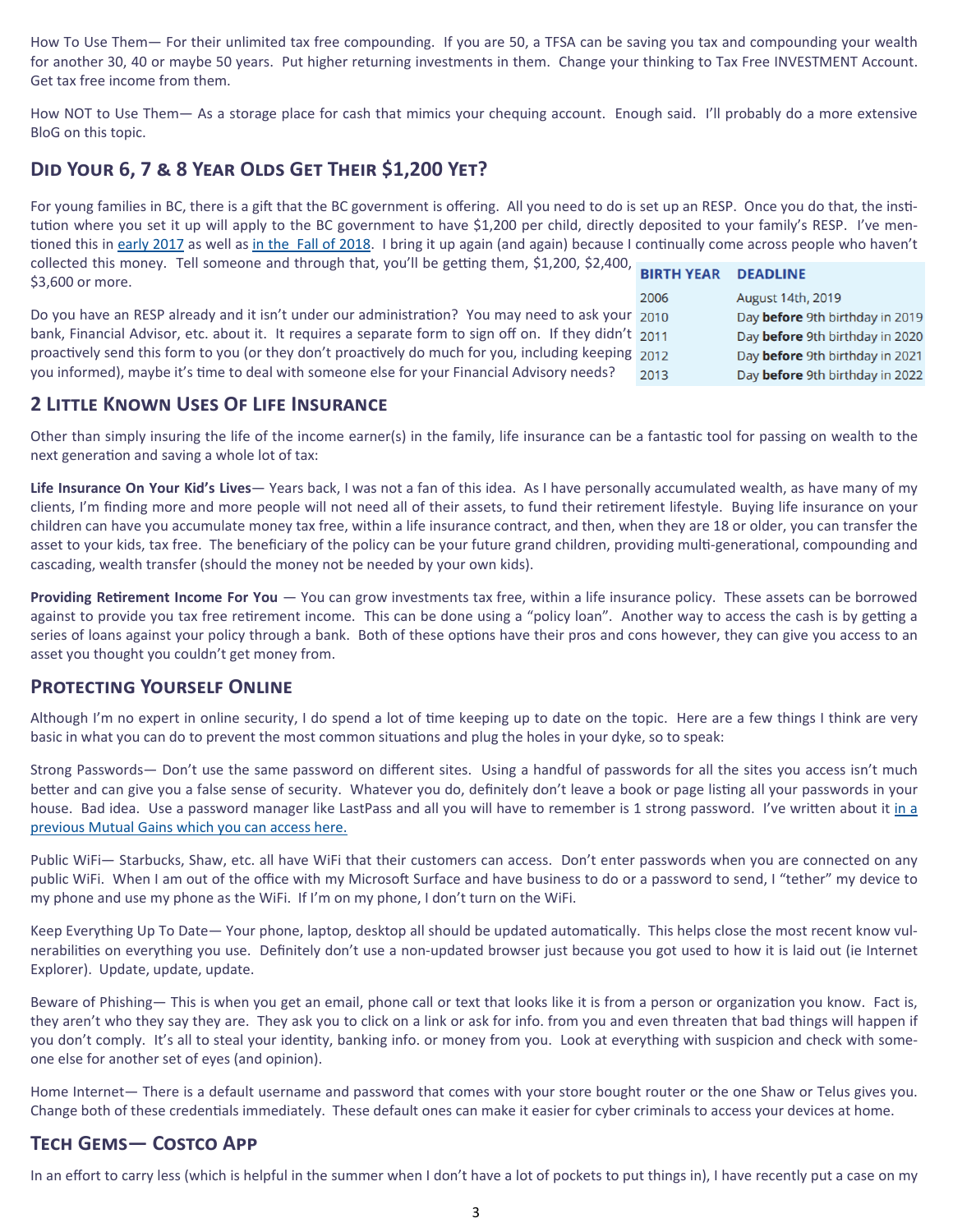How To Use Them— For their unlimited tax free compounding. If you are 50, a TFSA can be saving you tax and compounding your wealth for another 30, 40 or maybe 50 years. Put higher returning investments in them. Change your thinking to Tax Free INVESTMENT Account. Get tax free income from them.

How NOT to Use Them— As a storage place for cash that mimics your chequing account. Enough said. I'll probably do a more extensive BloG on this topic.

# DID YOUR 6, 7 & 8 YEAR OLDS GET THEIR \$1,200 YET?

For young families in BC, there is a gift that the BC government is offering. All you need to do is set up an RESP. Once you do that, the institution where you set it up will apply to the BC government to have \$1,200 per child, directly deposited to your family's RESP. I've mentioned this in early 2017 as well as in the Fall of 2018. I bring it up again (and again) because I continually come across people who haven't collected this money. Tell someone and through that, you'll be getting them, \$1,200, \$2,400, **BIRTH YEAR DEADLINE** \$3,600 or more.

2006 Do you have an RESP already and it isn't under our administration? You may need to ask your 2010 bank, Financial Advisor, etc. about it. It requires a separate form to sign off on. If they didn't 2011 proactively send this form to you (or they don't proactively do much for you, including keeping 2012 you informed), maybe it's time to deal with someone else for your Financial Advisory needs? 2013

### **August 14th, 2019** Day before 9th birthday in 2019 Day before 9th birthday in 2020 Day before 9th birthday in 2021 Day before 9th birthday in 2022

### **2 LITTLE KNOWN USES OF LIFE INSURANCE**

Other than simply insuring the life of the income earner(s) in the family, life insurance can be a fantastic tool for passing on wealth to the next generation and saving a whole lot of tax:

Life Insurance On Your Kid's Lives-Years back, I was not a fan of this idea. As I have personally accumulated wealth, as have many of my clients, I'm finding more and more people will not need all of their assets, to fund their retirement lifestyle. Buying life insurance on your children can have you accumulate money tax free, within a life insurance contract, and then, when they are 18 or older, you can transfer the asset to your kids, tax free. The beneficiary of the policy can be your future grand children, providing multi-generational, compounding and cascading, wealth transfer (should the money not be needed by your own kids).

Providing Retirement Income For You - You can grow investments tax free, within a life insurance policy. These assets can be borrowed against to provide you tax free retirement income. This can be done using a "policy loan". Another way to access the cash is by getting a series of loans against your policy through a bank. Both of these options have their pros and cons however, they can give you access to an asset you thought you couldn't get money from.

### **PROTECTING YOURSELF ONLINE**

Although I'm no expert in online security, I do spend a lot of time keeping up to date on the topic. Here are a few things I think are very basic in what you can do to prevent the most common situations and plug the holes in your dyke, so to speak:

Strong Passwords- Don't use the same password on different sites. Using a handful of passwords for all the sites you access isn't much better and can give you a false sense of security. Whatever you do, definitely don't leave a book or page listing all your passwords in your house. Bad idea. Use a password manager like LastPass and all you will have to remember is 1 strong password. I've written about it in a previous Mutual Gains which you can access here.

Public WiFi— Starbucks, Shaw, etc. all have WiFi that their customers can access. Don't enter passwords when you are connected on any public WiFi. When I am out of the office with my Microsoft Surface and have business to do or a password to send, I "tether" my device to my phone and use my phone as the WiFi. If I'm on my phone, I don't turn on the WiFi.

Keep Everything Up To Date-Your phone, laptop, desktop all should be updated automatically. This helps close the most recent know vulnerabilities on everything you use. Definitely don't use a non-updated browser just because you got used to how it is laid out (ie Internet Explorer). Update, update, update.

Beware of Phishing— This is when you get an email, phone call or text that looks like it is from a person or organization you know. Fact is, they aren't who they say they are. They ask you to click on a link or ask for info. from you and even threaten that bad things will happen if you don't comply. It's all to steal your identity, banking info. or money from you. Look at everything with suspicion and check with someone else for another set of eyes (and opinion).

Home Internet— There is a default username and password that comes with your store bought router or the one Shaw or Telus gives you. Change both of these credentials immediately. These default ones can make it easier for cyber criminals to access your devices at home.

# **TECH GEMS- COSTCO APP**

In an effort to carry less (which is helpful in the summer when I don't have a lot of pockets to put things in), I have recently put a case on my